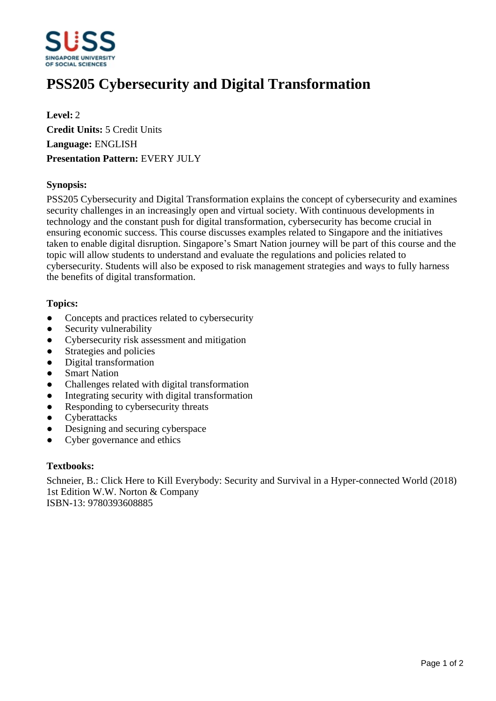

# **PSS205 Cybersecurity and Digital Transformation**

**Level:** 2 **Credit Units:** 5 Credit Units **Language:** ENGLISH **Presentation Pattern:** EVERY JULY

## **Synopsis:**

PSS205 Cybersecurity and Digital Transformation explains the concept of cybersecurity and examines security challenges in an increasingly open and virtual society. With continuous developments in technology and the constant push for digital transformation, cybersecurity has become crucial in ensuring economic success. This course discusses examples related to Singapore and the initiatives taken to enable digital disruption. Singapore's Smart Nation journey will be part of this course and the topic will allow students to understand and evaluate the regulations and policies related to cybersecurity. Students will also be exposed to risk management strategies and ways to fully harness the benefits of digital transformation.

## **Topics:**

- Concepts and practices related to cybersecurity
- Security vulnerability
- Cybersecurity risk assessment and mitigation
- Strategies and policies
- Digital transformation
- Smart Nation
- ƔChallenges related with digital transformation
- Integrating security with digital transformation
- Responding to cybersecurity threats
- Cyberattacks
- Designing and securing cyberspace
- Cyber governance and ethics

#### **Textbooks:**

Schneier, B.: Click Here to Kill Everybody: Security and Survival in a Hyper-connected World (2018) 1st Edition W.W. Norton & Company ISBN-13: 9780393608885